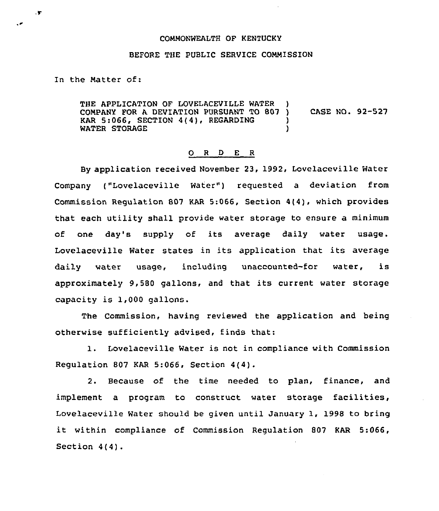## COMMONWEALTH OF KENTUCKY

## BEFORE THE PUBLIC SERVICE COMMISSION

In the Matter of:

 $\cdot$ 

THE APPLICATION OF LOVELACEVILLE WATER COMPANY FOR A DEVIATION PURSUANT TO 807 ) CASE NO. 92-527<br>KAR 5:066. SECTION 4(4). REGARDING ) KAR 5:066, SECTION 4(4), REGARDING )<br>WATER STORAGE WATER STORAGE

## 0 <sup>R</sup> <sup>D</sup> E <sup>R</sup>

By application received November 23, 1992, Lovelaceville Water Company ("Lovelaceville Water") requested a deviation from Commission Regulation 807 KAR 5:066, Section 4(4), which provides that each utility shall provide water storage to ensure a minimum of one day's supply of its average daily water usage. Lovelaceville Water states in its application that its average daily water usage, including unaccounted-for water, is approximately 9,580 gallons, and that its current water storage capacity is 1,000 gallons.

The Commission, having reviewed the application and being otherwise sufficiently advised, finds that:

1. Lovelaceville Water is not in compliance with Commission Regulation 807 KAR 5:066, Section 4(4).

2. Because of the time needed to plan, finance, and implement a program to construct water storage facilities, Lovelaceville Water should be given until January 1, 1998 to bring it within compliance of Commission Regulation <sup>807</sup> KAR 5:066, Section 4(4).